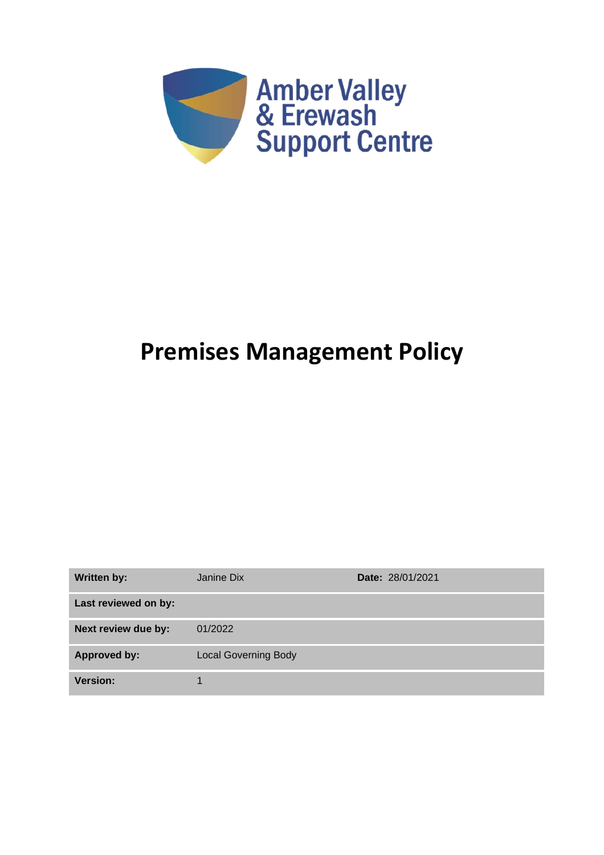

# **Premises Management Policy**

| <b>Written by:</b>   | Janine Dix                  | <b>Date: 28/01/2021</b> |
|----------------------|-----------------------------|-------------------------|
| Last reviewed on by: |                             |                         |
| Next review due by:  | 01/2022                     |                         |
| <b>Approved by:</b>  | <b>Local Governing Body</b> |                         |
| <b>Version:</b>      |                             |                         |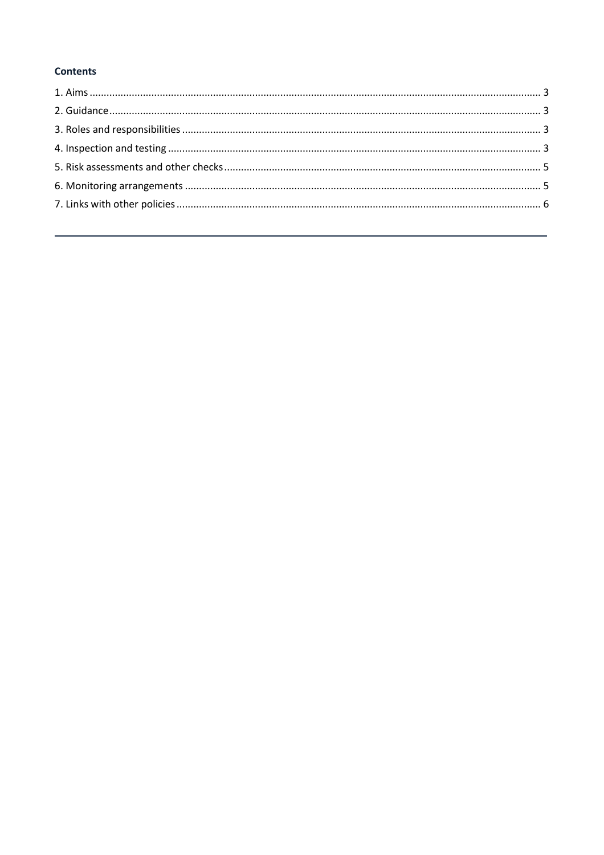# **Contents**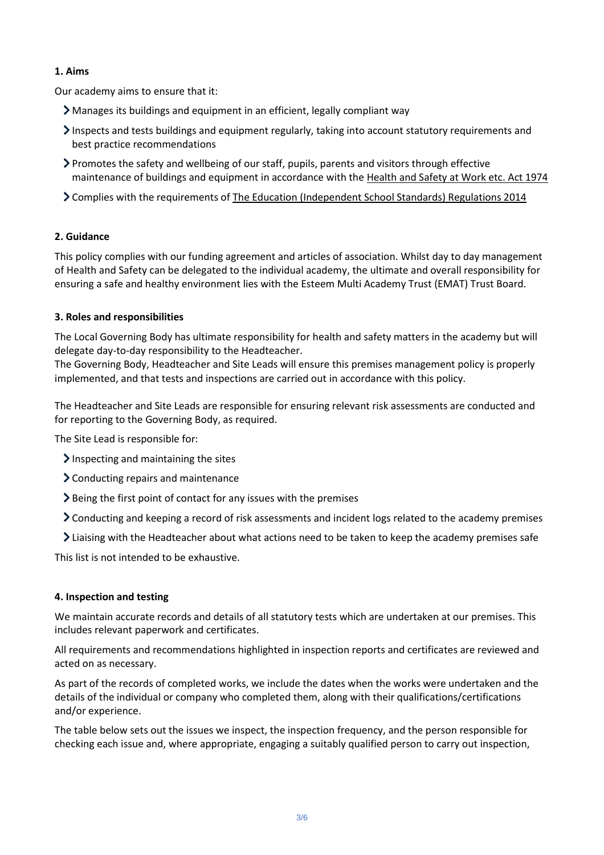## <span id="page-2-0"></span>**1. Aims**

Our academy aims to ensure that it:

- Manages its buildings and equipment in an efficient, legally compliant way
- Inspects and tests buildings and equipment regularly, taking into account statutory requirements and best practice recommendations
- Promotes the safety and wellbeing of our staff, pupils, parents and visitors through effective maintenance of buildings and equipment in accordance with the [Health and Safety at Work etc. Act 1974](https://www.legislation.gov.uk/ukpga/1974/37/contents)
- Complies with the requirements of [The Education \(Independent School Standards\) Regulations 2014](http://www.legislation.gov.uk/uksi/2014/3283/schedule/made)

## <span id="page-2-1"></span>**2. Guidance**

This policy complies with our funding agreement and articles of association. Whilst day to day management of Health and Safety can be delegated to the individual academy, the ultimate and overall responsibility for ensuring a safe and healthy environment lies with the Esteem Multi Academy Trust (EMAT) Trust Board.

## <span id="page-2-2"></span>**3. Roles and responsibilities**

The Local Governing Body has ultimate responsibility for health and safety matters in the academy but will delegate day-to-day responsibility to the Headteacher.

The Governing Body, Headteacher and Site Leads will ensure this premises management policy is properly implemented, and that tests and inspections are carried out in accordance with this policy.

The Headteacher and Site Leads are responsible for ensuring relevant risk assessments are conducted and for reporting to the Governing Body, as required.

The Site Lead is responsible for:

- $\sum$  Inspecting and maintaining the sites
- Conducting repairs and maintenance
- $\geq$  Being the first point of contact for any issues with the premises
- Conducting and keeping a record of risk assessments and incident logs related to the academy premises
- Liaising with the Headteacher about what actions need to be taken to keep the academy premises safe

This list is not intended to be exhaustive.

#### <span id="page-2-3"></span>**4. Inspection and testing**

We maintain accurate records and details of all statutory tests which are undertaken at our premises. This includes relevant paperwork and certificates.

All requirements and recommendations highlighted in inspection reports and certificates are reviewed and acted on as necessary.

As part of the records of completed works, we include the dates when the works were undertaken and the details of the individual or company who completed them, along with their qualifications/certifications and/or experience.

The table below sets out the issues we inspect, the inspection frequency, and the person responsible for checking each issue and, where appropriate, engaging a suitably qualified person to carry out inspection,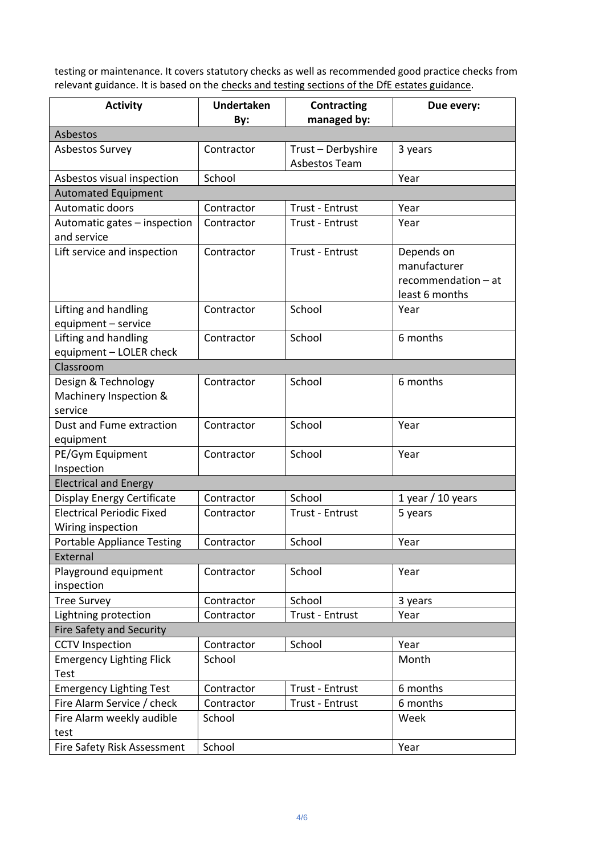testing or maintenance. It covers statutory checks as well as recommended good practice checks from relevant guidance. It is based on the [checks and testing sections of the DfE estates guidance.](https://www.gov.uk/guidance/good-estate-management-for-schools/health-and-safety)

| <b>Activity</b>                                          | <b>Undertaken</b> | <b>Contracting</b><br>managed by: | Due every:                                                          |  |  |  |
|----------------------------------------------------------|-------------------|-----------------------------------|---------------------------------------------------------------------|--|--|--|
| By:<br>Asbestos                                          |                   |                                   |                                                                     |  |  |  |
| <b>Asbestos Survey</b>                                   | Contractor        | Trust - Derbyshire                | 3 years                                                             |  |  |  |
|                                                          |                   | Asbestos Team                     |                                                                     |  |  |  |
| Asbestos visual inspection                               | School            |                                   | Year                                                                |  |  |  |
| <b>Automated Equipment</b>                               |                   |                                   |                                                                     |  |  |  |
| <b>Automatic doors</b>                                   | Contractor        | <b>Trust - Entrust</b>            | Year                                                                |  |  |  |
| Automatic gates - inspection                             | Contractor        | <b>Trust - Entrust</b>            | Year                                                                |  |  |  |
| and service                                              |                   |                                   |                                                                     |  |  |  |
| Lift service and inspection                              | Contractor        | Trust - Entrust                   | Depends on<br>manufacturer<br>recommendation - at<br>least 6 months |  |  |  |
| Lifting and handling<br>equipment - service              | Contractor        | School                            | Year                                                                |  |  |  |
| Lifting and handling                                     | Contractor        | School                            | 6 months                                                            |  |  |  |
| equipment - LOLER check                                  |                   |                                   |                                                                     |  |  |  |
| Classroom                                                |                   |                                   |                                                                     |  |  |  |
| Design & Technology<br>Machinery Inspection &<br>service | Contractor        | School                            | 6 months                                                            |  |  |  |
| Dust and Fume extraction<br>equipment                    | Contractor        | School                            | Year                                                                |  |  |  |
| PE/Gym Equipment<br>Inspection                           | Contractor        | School                            | Year                                                                |  |  |  |
| <b>Electrical and Energy</b>                             |                   |                                   |                                                                     |  |  |  |
| Display Energy Certificate                               | Contractor        | School                            | 1 year / 10 years                                                   |  |  |  |
| <b>Electrical Periodic Fixed</b><br>Wiring inspection    | Contractor        | <b>Trust - Entrust</b>            | 5 years                                                             |  |  |  |
| <b>Portable Appliance Testing</b>                        | Contractor        | School                            | Year                                                                |  |  |  |
| External                                                 |                   |                                   |                                                                     |  |  |  |
| Playground equipment<br>inspection                       | Contractor        | School                            | Year                                                                |  |  |  |
| <b>Tree Survey</b>                                       | Contractor        | School                            | 3 years                                                             |  |  |  |
| Lightning protection                                     | Contractor        | Trust - Entrust                   | Year                                                                |  |  |  |
| <b>Fire Safety and Security</b>                          |                   |                                   |                                                                     |  |  |  |
| <b>CCTV</b> Inspection                                   | Contractor        | School                            | Year                                                                |  |  |  |
| <b>Emergency Lighting Flick</b><br><b>Test</b>           | School            |                                   | Month                                                               |  |  |  |
| <b>Emergency Lighting Test</b>                           | Contractor        | Trust - Entrust                   | 6 months                                                            |  |  |  |
| Fire Alarm Service / check                               | Contractor        | Trust - Entrust                   | 6 months                                                            |  |  |  |
| Fire Alarm weekly audible<br>test                        | School            |                                   | Week                                                                |  |  |  |
| Fire Safety Risk Assessment                              | School            |                                   | Year                                                                |  |  |  |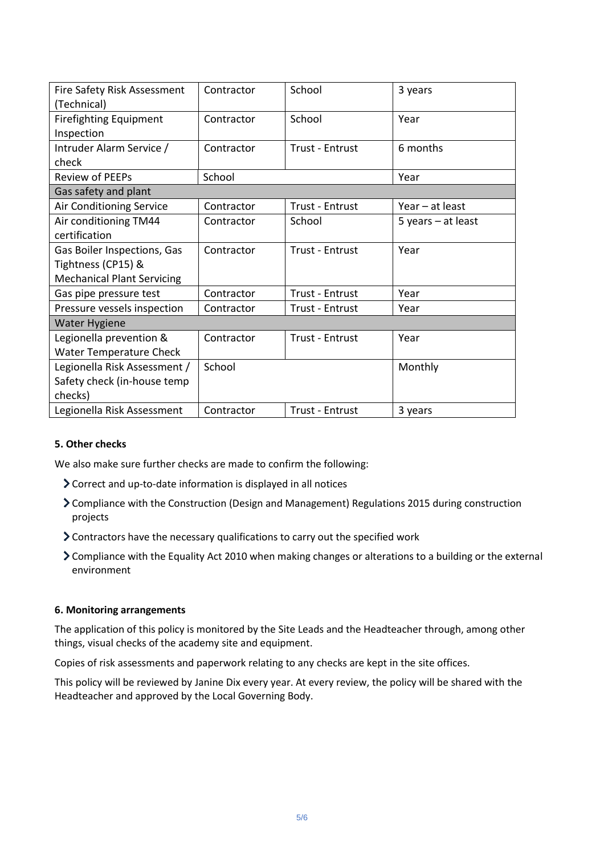| Fire Safety Risk Assessment       | Contractor | School                 | 3 years              |  |  |
|-----------------------------------|------------|------------------------|----------------------|--|--|
| (Technical)                       |            |                        |                      |  |  |
| <b>Firefighting Equipment</b>     | Contractor | School                 | Year                 |  |  |
| Inspection                        |            |                        |                      |  |  |
| Intruder Alarm Service /          | Contractor | <b>Trust - Entrust</b> | 6 months             |  |  |
| check                             |            |                        |                      |  |  |
| <b>Review of PEEPs</b>            | School     |                        | Year                 |  |  |
| Gas safety and plant              |            |                        |                      |  |  |
| Air Conditioning Service          | Contractor | Trust - Entrust        | Year - at least      |  |  |
| Air conditioning TM44             | Contractor | School                 | 5 years $-$ at least |  |  |
| certification                     |            |                        |                      |  |  |
| Gas Boiler Inspections, Gas       | Contractor | <b>Trust - Entrust</b> | Year                 |  |  |
| Tightness (CP15) &                |            |                        |                      |  |  |
| <b>Mechanical Plant Servicing</b> |            |                        |                      |  |  |
| Gas pipe pressure test            | Contractor | Trust - Entrust        | Year                 |  |  |
| Pressure vessels inspection       | Contractor | Trust - Entrust        | Year                 |  |  |
| <b>Water Hygiene</b>              |            |                        |                      |  |  |
| Legionella prevention &           | Contractor | <b>Trust - Entrust</b> | Year                 |  |  |
| <b>Water Temperature Check</b>    |            |                        |                      |  |  |
| Legionella Risk Assessment /      | School     |                        | Monthly              |  |  |
| Safety check (in-house temp       |            |                        |                      |  |  |
| checks)                           |            |                        |                      |  |  |
| Legionella Risk Assessment        | Contractor | Trust - Entrust        | 3 years              |  |  |

#### <span id="page-4-0"></span>**5. Other checks**

We also make sure further checks are made to confirm the following:

- Correct and up-to-date information is displayed in all notices
- Compliance with the Construction (Design and Management) Regulations 2015 during construction projects
- Contractors have the necessary qualifications to carry out the specified work
- Compliance with the Equality Act 2010 when making changes or alterations to a building or the external environment

#### <span id="page-4-1"></span>**6. Monitoring arrangements**

The application of this policy is monitored by the Site Leads and the Headteacher through, among other things, visual checks of the academy site and equipment.

Copies of risk assessments and paperwork relating to any checks are kept in the site offices.

<span id="page-4-2"></span>This policy will be reviewed by Janine Dix every year. At every review, the policy will be shared with the Headteacher and approved by the Local Governing Body.